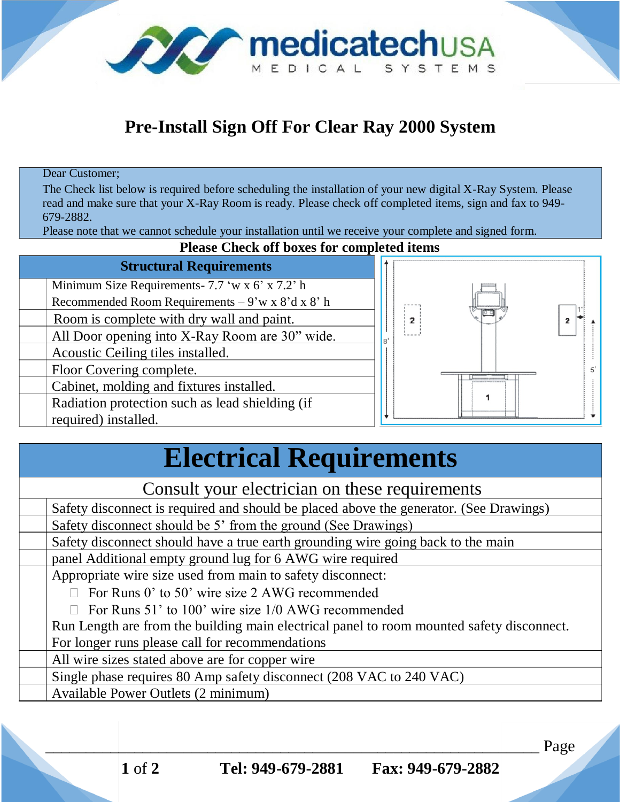

## **Pre-Install Sign Off For Clear Ray 2000 System**

Dear Customer;

The Check list below is required before scheduling the installation of your new digital X-Ray System. Please read and make sure that your X-Ray Room is ready. Please check off completed items, sign and fax to 949- 679-2882.

Please note that we cannot schedule your installation until we receive your complete and signed form.

## **Please Check off boxes for completed items**

| <b>Structural Requirements</b>                   |    |
|--------------------------------------------------|----|
| Minimum Size Requirements-7.7 'w x 6' x 7.2' h   |    |
| Recommended Room Requirements – 9'w x 8'd x 8' h |    |
| Room is complete with dry wall and paint.        |    |
| All Door opening into X-Ray Room are 30" wide.   | 81 |
| Acoustic Ceiling tiles installed.                |    |
| Floor Covering complete.                         |    |
| Cabinet, molding and fixtures installed.         |    |
| Radiation protection such as lead shielding (if  |    |
| required) installed.                             |    |



## **Electrical Requirements**

| Consult your electrician on these requirements                                            |  |  |
|-------------------------------------------------------------------------------------------|--|--|
| Safety disconnect is required and should be placed above the generator. (See Drawings)    |  |  |
| Safety disconnect should be 5' from the ground (See Drawings)                             |  |  |
| Safety disconnect should have a true earth grounding wire going back to the main          |  |  |
| panel Additional empty ground lug for 6 AWG wire required                                 |  |  |
| Appropriate wire size used from main to safety disconnect:                                |  |  |
| $\Box$ For Runs 0' to 50' wire size 2 AWG recommended                                     |  |  |
| $\Box$ For Runs 51' to 100' wire size 1/0 AWG recommended                                 |  |  |
| Run Length are from the building main electrical panel to room mounted safety disconnect. |  |  |
| For longer runs please call for recommendations                                           |  |  |
| All wire sizes stated above are for copper wire                                           |  |  |
| Single phase requires 80 Amp safety disconnect (208 VAC to 240 VAC)                       |  |  |
| Available Power Outlets (2 minimum)                                                       |  |  |